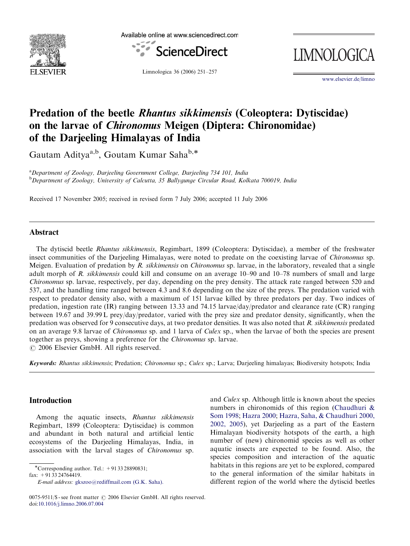

Available online at www.sciencedirect.com



Limnologica 36 (2006) 251–257

LIMNOLOGICA

www.elsevier.de/limno

# Predation of the beetle Rhantus sikkimensis (Coleoptera: Dytiscidae) on the larvae of Chironomus Meigen (Diptera: Chironomidae) of the Darjeeling Himalayas of India

Gautam Aditya<sup>a,b</sup>, Goutam Kumar Saha<sup>b,\*</sup>

<sup>a</sup>Department of Zoology, Darjeeling Government College, Darjeeling 734 101, India <sup>b</sup>Department of Zoology, University of Calcutta, 35 Ballygunge Circular Road, Kolkata 700019, India

Received 17 November 2005; received in revised form 7 July 2006; accepted 11 July 2006

# Abstract

The dytiscid beetle *Rhantus sikkimensis*, Regimbart, 1899 (Coleoptera: Dytiscidae), a member of the freshwater insect communities of the Darjeeling Himalayas, were noted to predate on the coexisting larvae of *Chironomus* sp. Meigen. Evaluation of predation by *R. sikkimensis* on *Chironomus* sp. larvae, in the laboratory, revealed that a single adult morph of *R. sikkimensis* could kill and consume on an average 10–90 and 10–78 numbers of small and large *Chironomus* sp. larvae, respectively, per day, depending on the prey density. The attack rate ranged between 520 and 537, and the handling time ranged between 4.3 and 8.6 depending on the size of the preys. The predation varied with respect to predator density also, with a maximum of 151 larvae killed by three predators per day. Two indices of predation, ingestion rate (IR) ranging between 13.33 and 74.15 larvae/day/predator and clearance rate (CR) ranging between 19.67 and 39.99 L prey/day/predator, varied with the prey size and predator density, significantly, when the predation was observed for 9 consecutive days, at two predator densities. It was also noted that *R. sikkimensis* predated on an average 9.8 larvae of *Chironomus* sp. and 1 larva of *Culex* sp., when the larvae of both the species are present together as preys, showing a preference for the *Chironomus* sp. larvae.  $O$  2006 Elsevier GmbH. All rights reserved.

Keywords: *Rhantus sikkimensis*; Predation; *Chironomus* sp.; *Culex* sp.; Larva; Darjeeling himalayas; Biodiversity hotspots; India

# Introduction

Among the aquatic insects, *Rhantus sikkimensis* Regimbart, 1899 (Coleoptera: Dytiscidae) is common and abundant in both natural and artificial lentic ecosystems of the Darjeeling Himalayas, India, in association with the larval stages of *Chironomus* sp.

\*Corresponding author. Tel.:  $+913328890831$ ;

fax: +91 33 24764419.

*E-mail address:* gkszoo@rediffmail.com (G.K. Saha).

and *Culex* sp. Although little is known about the species numbers in chironomids of this region (Chaudhuri & Som 1998; Hazra 2000; Hazra, Saha, & Chaudhuri 2000, 2002, 2005), yet Darjeeling as a part of the Eastern Himalayan biodiversity hotspots of the earth, a high number of (new) chironomid species as well as other aquatic insects are expected to be found. Also, the species composition and interaction of the aquatic habitats in this regions are yet to be explored, compared to the general information of the similar habitats in different region of the world where the dytiscid beetles

<sup>0075-9511/\$ -</sup> see front matter  $\odot$  2006 Elsevier GmbH. All rights reserved. doi:10.1016/j.limno.2006.07.004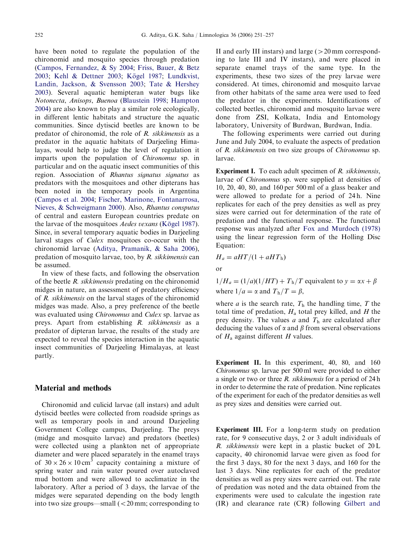have been noted to regulate the population of the chironomid and mosquito species through predation (Campos, Fernandez, & Sy 2004; Friss, Bauer, & Betz 2003; Kehl & Dettner 2003; Kögel 1987; Lundkvist, Landin, Jackson, & Svensson 2003; Tate & Hershey 2003). Several aquatic hemipteran water bugs like *Notonecta*, *Anisops*, *Buenoa* (Blaustein 1998; Hampton 2004) are also known to play a similar role ecologically, in different lentic habitats and structure the aquatic communities. Since dytiscid beetles are known to be predator of chironomid, the role of *R. sikkimensis* as a predator in the aquatic habitats of Darjeeling Himalayas, would help to judge the level of regulation it imparts upon the population of *Chironomus* sp. in particular and on the aquatic insect communities of this region. Association of *Rhantus signatus signatus* as predators with the mosquitoes and other dipterans has been noted in the temporary pools in Argentina (Campos et al. 2004; Fischer, Marinone, Fontanarrosa, Nieves, & Schweigmann 2000). Also, *Rhantus consputus* of central and eastern European countries predate on the larvae of the mosquitoes *Aedes vexans* (Kögel 1987). Since, in several temporary aquatic bodies in Darjeeling larval stages of *Culex* mosquitoes co-occur with the chironomid larvae (Aditya, Pramanik, & Saha 2006), predation of mosquito larvae, too, by *R. sikkimensis* can be assumed.

In view of these facts, and following the observation of the beetle *R. sikkimensis* predating on the chironomid midges in nature, an assessment of predatory efficiency of *R. sikkimensis* on the larval stages of the chironomid midges was made. Also, a prey preference of the beetle was evaluated using *Chironomus* and *Culex* sp. larvae as preys. Apart from establishing *R. sikkimensis* as a predator of dipteran larvae, the results of the study are expected to reveal the species interaction in the aquatic insect communities of Darjeeling Himalayas, at least partly.

# Material and methods

Chironomid and culicid larvae (all instars) and adult dytiscid beetles were collected from roadside springs as well as temporary pools in and around Darjeeling Government College campus, Darjeeling. The preys (midge and mosquito larvae) and predators (beetles) were collected using a plankton net of appropriate diameter and were placed separately in the enamel trays of  $30 \times 26 \times 10 \text{ cm}^3$  capacity containing a mixture of spring water and rain water poured over autoclaved mud bottom and were allowed to acclimatize in the laboratory. After a period of 3 days, the larvae of the midges were separated depending on the body length into two size groups—small  $\left($  < 20 mm; corresponding to II and early III instars) and large  $(>20 \text{ mm}$  corresponding to late III and IV instars), and were placed in separate enamel trays of the same type. In the experiments, these two sizes of the prey larvae were considered. At times, chironomid and mosquito larvae from other habitats of the same area were used to feed the predator in the experiments. Identifications of collected beetles, chironomid and mosquito larvae were done from ZSI, Kolkata, India and Entomology laboratory, University of Burdwan, Burdwan, India.

The following experiments were carried out during June and July 2004, to evaluate the aspects of predation of *R. sikkimensis* on two size groups of *Chironomus* sp. larvae.

Experiment I. To each adult specimen of *R. sikkimensis*, larvae of *Chironomus* sp. were supplied at densities of 10, 20, 40, 80, and 160 per 500 ml of a glass beaker and were allowed to predate for a period of 24 h. Nine replicates for each of the prey densities as well as prey sizes were carried out for determination of the rate of predation and the functional response. The functional response was analyzed after Fox and Murdoch (1978) using the linear regression form of the Holling Disc Equation:

$$
H_a = aHT/(1 + aHT_h)
$$

or

 $1/H_a = (1/a)(1/HT) + T_h/T$  equivalent to  $y = \alpha x + \beta$ where  $1/a = \alpha$  and  $T_h/T = \beta$ ,

where *a* is the search rate,  $T<sub>h</sub>$  the handling time, *T* the total time of predation, *H*<sup>a</sup> total prey killed, and *H* the prey density. The values  $a$  and  $T<sub>h</sub>$  are calculated after deducing the values of  $\alpha$  and  $\beta$  from several observations of *H*<sup>a</sup> against different *H* values.

Experiment II. In this experiment, 40, 80, and 160 *Chironomus* sp. larvae per 500 ml were provided to either a single or two or three *R. sikkimensis* for a period of 24 h in order to determine the rate of predation. Nine replicates of the experiment for each of the predator densities as well as prey sizes and densities were carried out.

Experiment III. For a long-term study on predation rate, for 9 consecutive days, 2 or 3 adult individuals of *R. sikkimensis* were kept in a plastic bucket of 20 L capacity, 40 chironomid larvae were given as food for the first 3 days, 80 for the next 3 days, and 160 for the last 3 days. Nine replicates for each of the predator densities as well as prey sizes were carried out. The rate of predation was noted and the data obtained from the experiments were used to calculate the ingestion rate (IR) and clearance rate (CR) following Gilbert and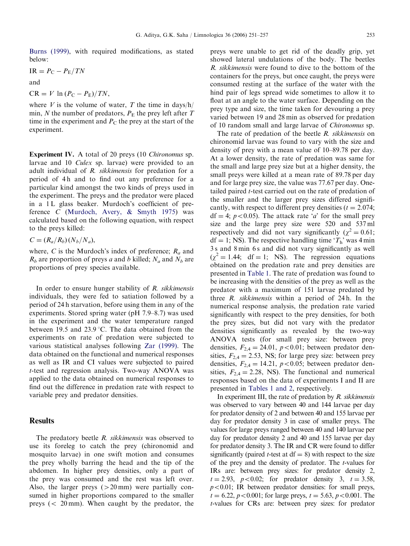Burns (1999), with required modifications, as stated below:

 $IR = P_{\rm C} - P_{\rm E}/TN$ 

and

$$
CR = V \ln (P_{\rm C} - P_{\rm E})/TN,
$$

where *V* is the volume of water, *T* the time in days/h/ min, *N* the number of predators,  $P<sub>E</sub>$  the prey left after *T* time in the experiment and  $P_C$  the prey at the start of the experiment.

Experiment IV. A total of 20 preys (10 *Chironomus* sp. larvae and 10 *Culex* sp. larvae) were provided to an adult individual of *R. sikkimensis* for predation for a period of 4h and to find out any preference for a particular kind amongst the two kinds of preys used in the experiment. The preys and the predator were placed in a 1 L glass beaker. Murdoch's coefficient of preference *C* (Murdoch, Avery, & Smyth 1975) was calculated based on the following equation, with respect to the preys killed:

$$
C = (R_a/R_b)(N_b/N_a),
$$

where, *C* is the Murdoch's index of preference; *R<sup>a</sup>* and  $R_b$  are proportion of preys *a* and *b* killed;  $N_a$  and  $N_b$  are proportions of prey species available.

In order to ensure hunger stability of *R. sikkimensis* individuals, they were fed to satiation followed by a period of 24 h starvation, before using them in any of the experiments. Stored spring water (pH 7.9–8.7) was used in the experiment and the water temperature ranged between 19.5 and 23.9 °C. The data obtained from the experiments on rate of predation were subjected to various statistical analyses following Zar (1999). The data obtained on the functional and numerical responses as well as IR and CI values were subjected to paired *t*-test and regression analysis. Two-way ANOVA was applied to the data obtained on numerical responses to find out the difference in predation rate with respect to variable prey and predator densities.

### Results

The predatory beetle *R. sikkimensis* was observed to use its foreleg to catch the prey (chironomid and mosquito larvae) in one swift motion and consumes the prey wholly barring the head and the tip of the abdomen. In higher prey densities, only a part of the prey was consumed and the rest was left over. Also, the larger preys  $(>20 \text{ mm})$  were partially consumed in higher proportions compared to the smaller preys ( $\lt$  20 mm). When caught by the predator, the preys were unable to get rid of the deadly grip, yet showed lateral undulations of the body. The beetles *R. sikkimensis* were found to dive to the bottom of the containers for the preys, but once caught, the preys were consumed resting at the surface of the water with the hind pair of legs spread wide sometimes to allow it to float at an angle to the water surface. Depending on the prey type and size, the time taken for devouring a prey varied between 19 and 28 min as observed for predation of 10 random small and large larvae of *Chironomus* sp.

The rate of predation of the beetle *R. sikkimensis* on chironomid larvae was found to vary with the size and density of prey with a mean value of 10–89.78 per day. At a lower density, the rate of predation was same for the small and large prey size but at a higher density, the small preys were killed at a mean rate of 89.78 per day and for large prey size, the value was 77.67 per day. Onetailed paired *t*-test carried out on the rate of predation of the smaller and the larger prey sizes differed significantly, with respect to different prey densities  $(t = 2.074$ ;  $df = 4$ ;  $p < 0.05$ ). The attack rate '*a*' for the small prey size and the large prey size were 520 and 537 ml respectively and did not vary significantly ( $\chi^2 = 0.61$ ;  $df = 1$ ; NS). The respective handling time ' $T<sub>h</sub>$ ' was 4 min 3 s and 8 min 6 s and did not vary significantly as well  $(\chi^2 = 1.44; df = 1; NS)$ . The regression equations obtained on the predation rate and prey densities are presented in Table 1. The rate of predation was found to be increasing with the densities of the prey as well as the predator with a maximum of 151 larvae predated by three *R. sikkimensis* within a period of 24 h. In the numerical response analysis, the predation rate varied significantly with respect to the prey densities, for both the prey sizes, but did not vary with the predator densities significantly as revealed by the two-way ANOVA tests (for small prey size: between prey densities,  $F_{2,4} = 24.01$ ,  $p < 0.01$ ; between predator densities,  $F_{2,4} = 2.53$ , NS; for large prey size: between prey densities,  $F_{2,4} = 14.21$ ,  $p < 0.05$ ; between predator densities,  $F_{2,4} = 2.28$ , NS). The functional and numerical responses based on the data of experiments I and II are presented in Tables 1 and 2, respectively.

In experiment III, the rate of predation by *R. sikkimensis* was observed to vary between 40 and 144 larvae per day for predator density of 2 and between 40 and 155 larvae per day for predator density 3 in case of smaller preys. The values for large preys ranged between 40 and 140 larvae per day for predator density 2 and 40 and 155 larvae per day for predator density 3. The IR and CR were found to differ significantly (paired *t*-test at  $df = 8$ ) with respect to the size of the prey and the density of predator. The *t*-values for IRs are: between prey sizes: for predator density 2,  $t = 2.93$ ,  $p < 0.02$ ; for predator density 3,  $t = 3.58$ ,  $p < 0.01$ ; IR between predator densities: for small preys,  $t = 6.22, p < 0.001$ ; for large preys,  $t = 5.63, p < 0.001$ . The *t*-values for CRs are: between prey sizes: for predator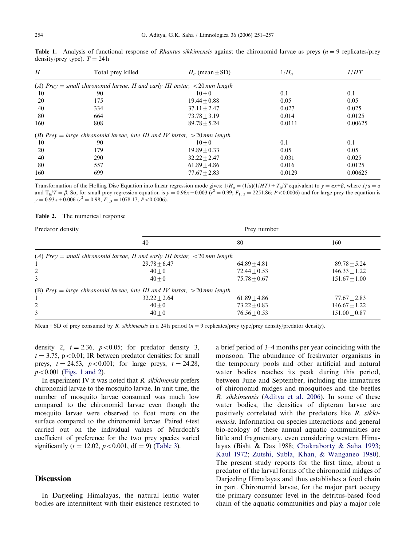| H   | Total prey killed                                                                           | $H_a$ (mean + SD) | $1/H_a$ | 1/HT    |
|-----|---------------------------------------------------------------------------------------------|-------------------|---------|---------|
|     | (A) Prey = small chironomid larvae, II and early III instar, $\langle 20 \rangle$ nm length |                   |         |         |
| 10  | 90                                                                                          | $10 + 0$          | 0.1     | 0.1     |
| 20  | 175                                                                                         | $19.44 + 0.88$    | 0.05    | 0.05    |
| 40  | 334                                                                                         | $37.11 + 2.47$    | 0.027   | 0.025   |
| 80  | 664                                                                                         | $73.78 + 3.19$    | 0.014   | 0.0125  |
| 160 | 808                                                                                         | $89.78 + 5.24$    | 0.0111  | 0.00625 |
|     | (B) Prey = large chironomid larvae, late III and IV instar, $>$ 20 mm length                |                   |         |         |
| 10  | 90                                                                                          | $10 + 0$          | 0.1     | 0.1     |
| 20  | 179                                                                                         | $19.89 + 0.33$    | 0.05    | 0.05    |
| 40  | 290                                                                                         | $32.22 + 2.47$    | 0.031   | 0.025   |
| 80  | 557                                                                                         | $61.89 + 4.86$    | 0.016   | 0.0125  |
| 160 | 699                                                                                         | $77.67 + 2.83$    | 0.0129  | 0.00625 |

**Table 1.** Analysis of functional response of *Rhantus sikkimensis* against the chironomid larvae as preys  $(n = 9$  replicates/prey density/prey type).  $T = 24$  h

Transformation of the Holling Disc Equation into linear regression mode gives:  $1/H_a = (1/a)(1/HT) + T_b/T$  equivalent to  $y = \alpha x + \beta$ , where  $1/a = \alpha$ and  $T_h/T = \beta$ . So, for small prey regression equation is  $y = 0.96x + 0.003$  ( $r^2 = 0.99$ ;  $F_{1,3} = 2251.86$ ;  $P < 0.0006$ ) and for large prey the equation is  $y = 0.93x + 0.006$  ( $r^2 = 0.98$ ;  $F_{1,3} = 1078.17$ ;  $P < 0.0006$ ).

Table 2. The numerical response

| Predator density |                                                                                             | Prey number    |                 |
|------------------|---------------------------------------------------------------------------------------------|----------------|-----------------|
|                  | 40                                                                                          | 80             | 160             |
|                  | (A) Prey = small chironomid larvae, II and early III instar, $\langle 20 \rangle$ nm length |                |                 |
| 1                | $29.78 + 6.47$                                                                              | $64.89 + 4.81$ | $89.78 + 5.24$  |
| 2                | $40 + 0$                                                                                    | $72.44 + 0.53$ | $146.33 + 1.22$ |
| 3                | $40 + 0$                                                                                    | $75.78 + 0.67$ | $151.67 + 1.00$ |
|                  | (B) Prey = large chironomid larvae, late III and IV instar, $>$ 20 mm length                |                |                 |
| $\mathbf{I}$     | $32.22 + 2.64$                                                                              | $61.89 + 4.86$ | $77.67 + 2.83$  |
| 2                | $40 + 0$                                                                                    | $73.22 + 0.83$ | $146.67 + 1.22$ |
| 3                | $40 + 0$                                                                                    | $76.56 + 0.53$ | $151.00 + 0.87$ |

Mean $\pm$ SD of prey consumed by *R. sikkimensis* in a 24 h period ( $n = 9$  replicates/prey type/prey density/predator density).

density 2,  $t = 2.36$ ,  $p < 0.05$ ; for predator density 3,  $t = 3.75$ , p $< 0.01$ ; IR between predator densities: for small preys,  $t = 24.53$ ,  $p < 0.001$ ; for large preys,  $t = 24.28$ ,  $p < 0.001$  (Figs. 1 and 2).

In experiment IV it was noted that *R. sikkimensis* prefers chironomid larvae to the mosquito larvae. In unit time, the number of mosquito larvae consumed was much low compared to the chironomid larvae even though the mosquito larvae were observed to float more on the surface compared to the chironomid larvae. Paired *t*-test carried out on the individual values of Murdoch's coefficient of preference for the two prey species varied significantly ( $t = 12.02$ ,  $p < 0.001$ , df = 9) (Table 3).

#### **Discussion**

In Darjeeling Himalayas, the natural lentic water bodies are intermittent with their existence restricted to a brief period of 3–4 months per year coinciding with the monsoon. The abundance of freshwater organisms in the temporary pools and other artificial and natural water bodies reaches its peak during this period, between June and September, including the immatures of chironomid midges and mosquitoes and the beetles *R. sikkimensis* (Aditya et al. 2006). In some of these water bodies, the densities of dipteran larvae are positively correlated with the predators like *R. sikkimensis*. Information on species interactions and general bio-ecology of these annual aquatic communities are little and fragmentary, even considering western Himalayas (Bisht & Das 1988; Chakraborty & Saha 1993; Kaul 1972; Zutshi, Subla, Khan, & Wanganeo 1980). The present study reports for the first time, about a predator of the larval forms of the chironomid midges of Darjeeling Himalayas and thus establishes a food chain in part. Chironomid larvae, for the major part occupy the primary consumer level in the detritus-based food chain of the aquatic communities and play a major role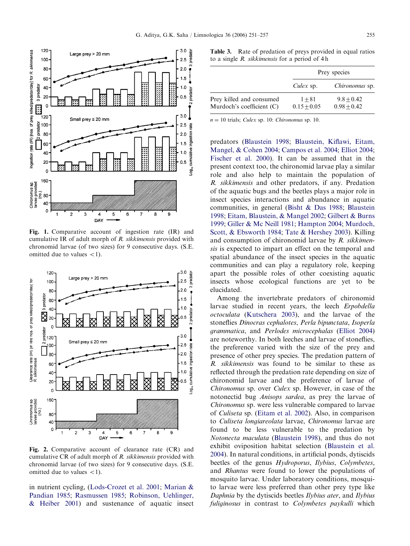



Fig. 1. Comparative account of ingestion rate (IR) and cumulative IR of adult morph of *R. sikkimensis* provided with chronomid larvae (of two sizes) for 9 consecutive days. (S.E. omitted due to values  $\langle 1 \rangle$ .



Fig. 2. Comparative account of clearance rate (CR) and cumulative CR of adult morph of *R. sikkimensis* provided with chronomid larvae (of two sizes) for 9 consecutive days. (S.E. omitted due to values  $\langle 1 \rangle$ .

in nutrient cycling, (Lods-Crozet et al. 2001; Marian & Pandian 1985; Rasmussen 1985; Robinson, Uehlinger, & Heiber 2001) and sustenance of aquatic insect

Table 3. Rate of predation of preys provided in equal ratios to a single *R. sikkimensis* for a period of 4 h

|                                                       | Prey species              |                               |
|-------------------------------------------------------|---------------------------|-------------------------------|
|                                                       | Culex sp.                 | <i>Chironomus</i> sp.         |
| Prey killed and consumed<br>Murdoch's coefficient (C) | $1 + 81$<br>$0.15 + 0.05$ | $9.8 + 0.42$<br>$0.98 + 0.42$ |

 $n = 10$  trials; *Culex* sp. 10: *Chironomus* sp. 10.

predators (Blaustein 1998; Blaustein, Kiflawi, Eitam, Mangel, & Cohen 2004; Campos et al. 2004; Elliot 2004; Fischer et al. 2000). It can be assumed that in the present context too, the chironomid larvae play a similar role and also help to maintain the population of *R. sikkimensis* and other predators, if any. Predation of the aquatic bugs and the beetles plays a major role in insect species interactions and abundance in aquatic communities, in general (Bisht & Das 1988; Blaustein 1998; Eitam, Blaustein, & Mangel 2002; Gilbert & Burns 1999; Giller & Mc Neill 1981; Hampton 2004; Murdoch, Scott, & Ebsworth 1984; Tate & Hershey 2003). Killing and consumption of chironomid larvae by *R. sikkimensis* is expected to impart an effect on the temporal and spatial abundance of the insect species in the aquatic communities and can play a regulatory role, keeping apart the possible roles of other coexisting aquatic insects whose ecological functions are yet to be elucidated.

Among the invertebrate predators of chironomid larvae studied in recent years, the leech *Erpobdella octoculata* (Kutschera 2003), and the larvae of the stoneflies *Dinocras cephalotes*, *Perla bipunctata*, *Isoperla grammatica*, and *Perlodes microcephalas* (Elliot 2004) are noteworthy. In both leeches and larvae of stoneflies, the preference varied with the size of the prey and presence of other prey species. The predation pattern of *R. sikkimensis* was found to be similar to these as reflected through the predation rate depending on size of chironomid larvae and the preference of larvae of *Chironomus* sp. over *Culex* sp. However, in case of the notonectid bug *Anisops sardea*, as prey the larvae of *Chironomus* sp. were less vulnerable compared to larvae of *Culiseta* sp. (Eitam et al. 2002). Also, in comparison to *Culiseta longiareolata* larvae, *Chironomus* larvae are found to be less vulnerable to the predation by *Notonecta maculata* (Blaustein 1998), and thus do not exhibit oviposition habitat selection (Blaustein et al. 2004). In natural conditions, in artificial ponds, dytiscids beetles of the genus *Hydroporus*, *Ilybius*, *Colymbetes*, and *Rhantus* were found to lower the populations of mosquito larvae. Under laboratory conditions, mosquito larvae were less preferred than other prey type like *Daphnia* by the dytiscids beetles *Ilybius ater*, and *Ilybius fuliginosus* in contrast to *Colymbetes paykulli* which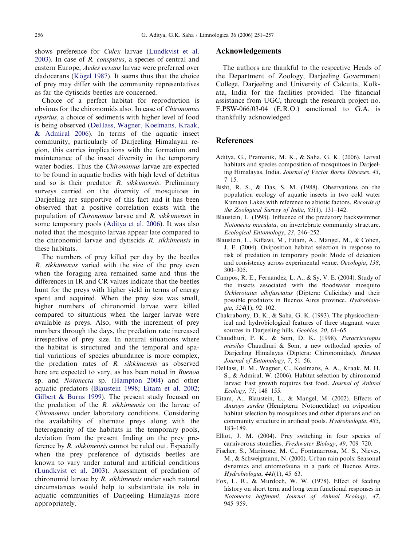shows preference for *Culex* larvae (Lundkvist et al. 2003). In case of *R. consputus*, a species of central and eastern Europe, *Aedes vexans* larvae were preferred over cladocerans (Kögel 1987). It seems thus that the choice of prey may differ with the community representatives as far the dytiscids beetles are concerned.

Choice of a perfect habitat for reproduction is obvious for the chironomids also. In case of *Chironomus riparius*, a choice of sediments with higher level of food is being observed (DeHass, Wagner, Koelmans, Kraak, & Admiral 2006). In terms of the aquatic insect community, particularly of Darjeeling Himalayan region, this carries implications with the formation and maintenance of the insect diversity in the temporary water bodies. Thus the *Chironomus* larvae are expected to be found in aquatic bodies with high level of detritus and so is their predator *R. sikkimensis*. Preliminary surveys carried on the diversity of mosquitoes in Darjeeling are supportive of this fact and it has been observed that a positive correlation exists with the population of *Chironomus* larvae and *R. sikkimensis* in some temporary pools (Aditya et al. 2006). It was also noted that the mosquito larvae appear late compared to the chironomid larvae and dytiscids *R. sikkimensis* in these habitats.

The numbers of prey killed per day by the beetles *R. sikkimensis* varied with the size of the prey even when the foraging area remained same and thus the differences in IR and CR values indicate that the beetles hunt for the preys with higher yield in terms of energy spent and acquired. When the prey size was small, higher numbers of chironomid larvae were killed compared to situations when the larger larvae were available as preys. Also, with the increment of prey numbers through the days, the predation rate increased irrespective of prey size. In natural situations where the habitat is structured and the temporal and spatial variations of species abundance is more complex, the predation rates of *R. sikkimensis* as observed here are expected to vary, as has been noted in *Buenoa* sp. and *Notonecta* sp. (Hampton 2004) and other aquatic predators (Blaustein 1998; Eitam et al. 2002; Gilbert & Burns 1999). The present study focused on the predation of the *R. sikkimensis* on the larvae of *Chironomus* under laboratory conditions. Considering the availability of alternate preys along with the heterogeneity of the habitats in the temporary pools, deviation from the present finding on the prey preference by *R. sikkimensis* cannot be ruled out. Especially when the prey preference of dytiscids beetles are known to vary under natural and artificial conditions (Lundkvist et al. 2003). Assessment of predation of chironomid larvae by *R. sikkimensis* under such natural circumstances would help to substantiate its role in aquatic communities of Darjeeling Himalayas more appropriately.

#### Acknowledgements

The authors are thankful to the respective Heads of the Department of Zoology, Darjeeling Government College, Darjeeling and University of Calcutta, Kolkata, India for the facilities provided. The financial assistance from UGC, through the research project no. F.PSW-066/03-04 (E.R.O.) sanctioned to G.A. is thankfully acknowledged.

## **References**

- Aditya, G., Pramanik, M. K., & Saha, G. K. (2006). Larval habitats and species composition of mosquitoes in Darjeeling Himalayas, India. *Journal of Vector Borne Diseases*, *43*,  $7 - 15$ .
- Bisht, R. S., & Das, S. M. (1988). Observations on the population ecology of aquatic insects in two cold water Kumaon Lakes with reference to abiotic factors. *Records of the Zoological Survey of India*, *85*(1), 131–142.
- Blaustein, L. (1998). Influence of the predatory backswimmer *Notonecta maculata*, on invertebrate community structure. *Ecological Entomology*, *23*, 246–252.
- Blaustein, L., Kiflawi, M., Eitam, A., Mangel, M., & Cohen, J. E. (2004). Oviposition habitat selection in response to risk of predation in temporary pools: Mode of detection and consistency across experimental venue. *Oecologia*, *138*, 300–305.
- Campos, R. E., Fernandez, L. A., & Sy, V. E. (2004). Study of the insects associated with the floodwater mosquito *Ochlerotatus albifasciatus* (Diptera: Culicidae) and their possible predators in Buenos Aires province. *Hydrobiologia*, *524*(1), 92–102.
- Chakraborty, D. K., & Saha, G. K. (1993). The physicochemical and hydrobiological features of three stagnant water sources in Darjeeling hills. *Geobios*, *20*, 61–65.
- Chaudhuri, P. K., & Som, D. K. (1998). *Paracricotopus missilus* Chaudhuri & Som, a new orthoclad species of Darjeeling Himalayas (Diptera: Chironomidae). *Russian Journal of Entomology*, *7*, 51–56.
- DeHass, E. M., Wagner, C., Koelmans, A. A., Kraak, M. H. S., & Admiral, W. (2006). Habitat selection by chironomid larvae: Fast growth requires fast food. *Journal of Animal Ecology*, *75*, 148–155.
- Eitam, A., Blaustein, L., & Mangel, M. (2002). Effects of *Anisops sardea* (Hemiptera: Notonectidae) on ovipostion habitat selection by mosquitoes and other dipterans and on community structure in artificial pools. *Hydrobiologia*, *485*, 183–189.
- Elliot, J. M. (2004). Prey switching in four species of carnivorous stoneflies. *Freshwater Biology*, *49*, 709–720.
- Fischer, S., Marinone, M. C., Fontanarrosa, M. S., Nieves, M., & Schweigmann, N. (2000). Urban rain pools: Seasonal dynamics and entomofauna in a park of Buenos Aires. *Hydrobiologia*, *441*(1), 45–63.
- Fox, L. R., & Murdoch, W. W. (1978). Effect of feeding history on short term and long term functional responses in *Notonecta hoffmani*. *Journal of Animal Ecology*, *47*, 945–959.